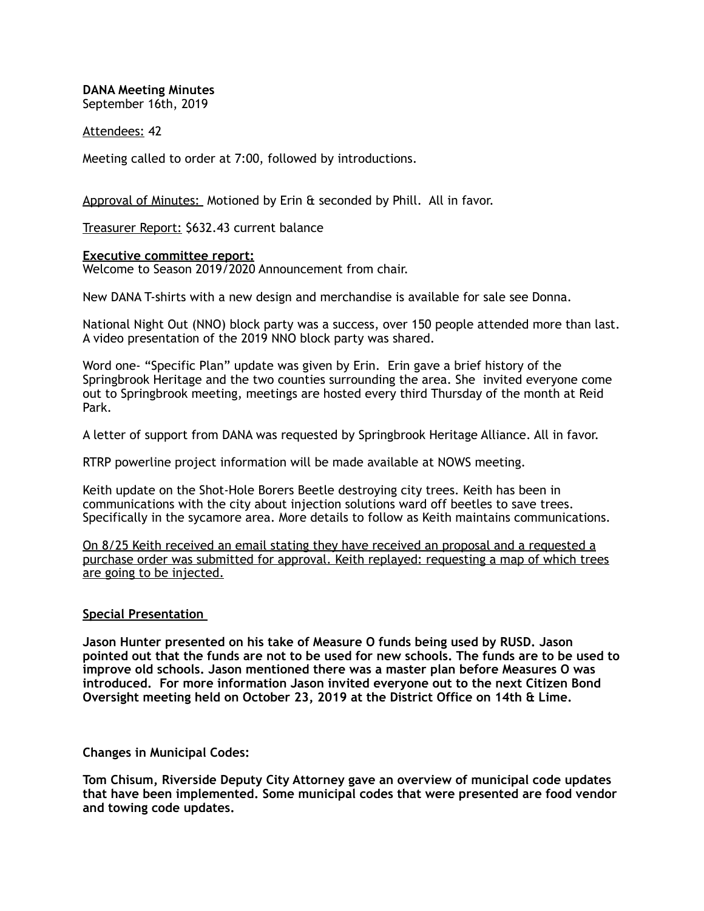**DANA Meeting Minutes**  September 16th, 2019

## Attendees: 42

Meeting called to order at 7:00, followed by introductions.

Approval of Minutes: Motioned by Erin & seconded by Phill. All in favor.

Treasurer Report: \$632.43 current balance

## **Executive committee report:**

Welcome to Season 2019/2020 Announcement from chair.

New DANA T-shirts with a new design and merchandise is available for sale see Donna.

National Night Out (NNO) block party was a success, over 150 people attended more than last. A video presentation of the 2019 NNO block party was shared.

Word one- "Specific Plan" update was given by Erin. Erin gave a brief history of the Springbrook Heritage and the two counties surrounding the area. She invited everyone come out to Springbrook meeting, meetings are hosted every third Thursday of the month at Reid Park.

A letter of support from DANA was requested by Springbrook Heritage Alliance. All in favor.

RTRP powerline project information will be made available at NOWS meeting.

Keith update on the Shot-Hole Borers Beetle destroying city trees. Keith has been in communications with the city about injection solutions ward off beetles to save trees. Specifically in the sycamore area. More details to follow as Keith maintains communications.

On 8/25 Keith received an email stating they have received an proposal and a requested a purchase order was submitted for approval. Keith replayed: requesting a map of which trees are going to be injected.

## **Special Presentation**

**Jason Hunter presented on his take of Measure O funds being used by RUSD. Jason pointed out that the funds are not to be used for new schools. The funds are to be used to improve old schools. Jason mentioned there was a master plan before Measures O was introduced. For more information Jason invited everyone out to the next Citizen Bond Oversight meeting held on October 23, 2019 at the District Office on 14th & Lime.** 

**Changes in Municipal Codes:** 

**Tom Chisum, Riverside Deputy City Attorney gave an overview of municipal code updates that have been implemented. Some municipal codes that were presented are food vendor and towing code updates.**